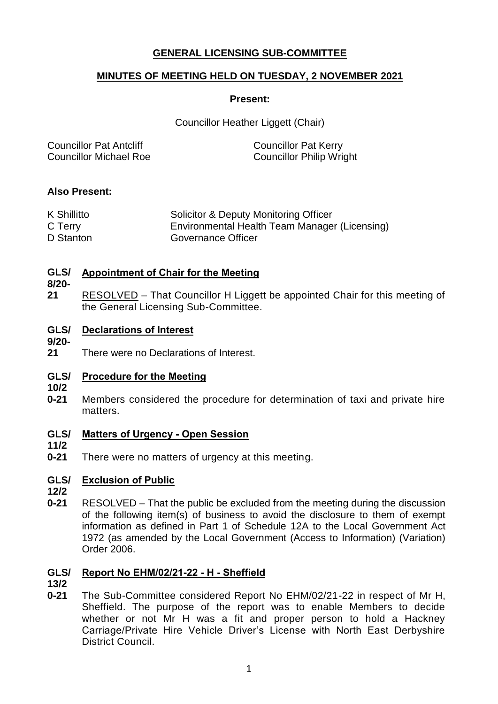# **GENERAL LICENSING SUB-COMMITTEE**

# **MINUTES OF MEETING HELD ON TUESDAY, 2 NOVEMBER 2021**

### **Present:**

Councillor Heather Liggett (Chair)

| <b>Councillor Pat Anteliff</b> | <b>Councillor Pat Kerry</b>     |
|--------------------------------|---------------------------------|
| <b>Councillor Michael Roe</b>  | <b>Councillor Philip Wright</b> |

### **Also Present:**

| K Shillitto | Solicitor & Deputy Monitoring Officer         |
|-------------|-----------------------------------------------|
| C Terry     | Environmental Health Team Manager (Licensing) |
| D Stanton   | Governance Officer                            |

#### **GLS/ Appointment of Chair for the Meeting**

### **8/20-**

**21** RESOLVED – That Councillor H Liggett be appointed Chair for this meeting of the General Licensing Sub-Committee.

#### **GLS/ Declarations of Interest**

**9/20-**

**21** There were no Declarations of Interest.

#### **GLS/ Procedure for the Meeting**

- **10/2**
- **0-21** Members considered the procedure for determination of taxi and private hire matters.

#### **GLS/ Matters of Urgency - Open Session**

- **11/2**
- **0-21** There were no matters of urgency at this meeting.

#### **GLS/ Exclusion of Public**

**12/2**

**0-21** RESOLVED – That the public be excluded from the meeting during the discussion of the following item(s) of business to avoid the disclosure to them of exempt information as defined in Part 1 of Schedule 12A to the Local Government Act 1972 (as amended by the Local Government (Access to Information) (Variation) Order 2006.

# **GLS/ Report No EHM/02/21-22 - H - Sheffield**

- **13/2**
- **0-21** The Sub-Committee considered Report No EHM/02/21-22 in respect of Mr H, Sheffield. The purpose of the report was to enable Members to decide whether or not Mr H was a fit and proper person to hold a Hackney Carriage/Private Hire Vehicle Driver's License with North East Derbyshire District Council.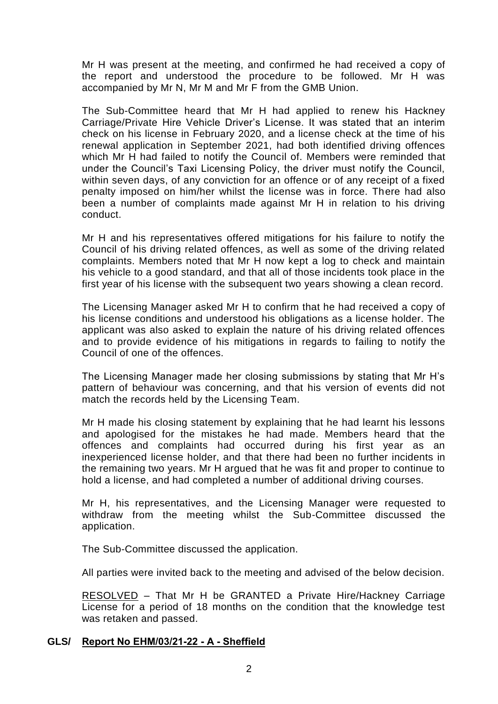Mr H was present at the meeting, and confirmed he had received a copy of the report and understood the procedure to be followed. Mr H was accompanied by Mr N, Mr M and Mr F from the GMB Union.

The Sub-Committee heard that Mr H had applied to renew his Hackney Carriage/Private Hire Vehicle Driver's License. It was stated that an interim check on his license in February 2020, and a license check at the time of his renewal application in September 2021, had both identified driving offences which Mr H had failed to notify the Council of. Members were reminded that under the Council's Taxi Licensing Policy, the driver must notify the Council, within seven days, of any conviction for an offence or of any receipt of a fixed penalty imposed on him/her whilst the license was in force. There had also been a number of complaints made against Mr H in relation to his driving conduct.

Mr H and his representatives offered mitigations for his failure to notify the Council of his driving related offences, as well as some of the driving related complaints. Members noted that Mr H now kept a log to check and maintain his vehicle to a good standard, and that all of those incidents took place in the first year of his license with the subsequent two years showing a clean record.

The Licensing Manager asked Mr H to confirm that he had received a copy of his license conditions and understood his obligations as a license holder. The applicant was also asked to explain the nature of his driving related offences and to provide evidence of his mitigations in regards to failing to notify the Council of one of the offences.

The Licensing Manager made her closing submissions by stating that Mr H's pattern of behaviour was concerning, and that his version of events did not match the records held by the Licensing Team.

Mr H made his closing statement by explaining that he had learnt his lessons and apologised for the mistakes he had made. Members heard that the offences and complaints had occurred during his first year as an inexperienced license holder, and that there had been no further incidents in the remaining two years. Mr H argued that he was fit and proper to continue to hold a license, and had completed a number of additional driving courses.

Mr H, his representatives, and the Licensing Manager were requested to withdraw from the meeting whilst the Sub-Committee discussed the application.

The Sub-Committee discussed the application.

All parties were invited back to the meeting and advised of the below decision.

RESOLVED – That Mr H be GRANTED a Private Hire/Hackney Carriage License for a period of 18 months on the condition that the knowledge test was retaken and passed.

### **GLS/ Report No EHM/03/21-22 - A - Sheffield**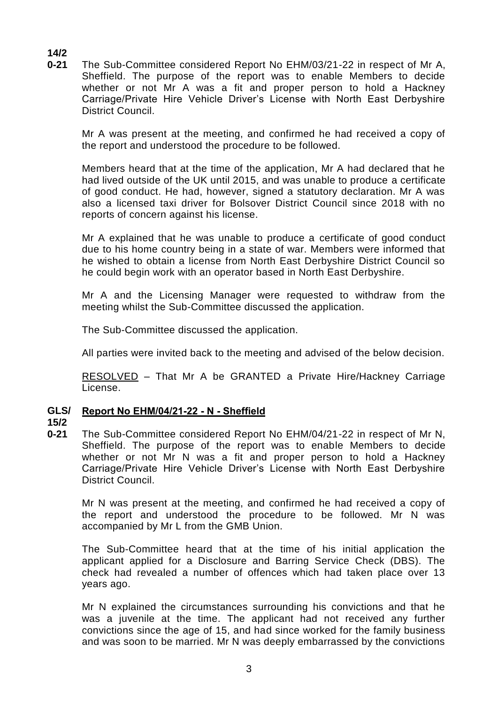**14/2**

**0-21** The Sub-Committee considered Report No EHM/03/21-22 in respect of Mr A, Sheffield. The purpose of the report was to enable Members to decide whether or not Mr A was a fit and proper person to hold a Hackney Carriage/Private Hire Vehicle Driver's License with North East Derbyshire District Council.

Mr A was present at the meeting, and confirmed he had received a copy of the report and understood the procedure to be followed.

Members heard that at the time of the application, Mr A had declared that he had lived outside of the UK until 2015, and was unable to produce a certificate of good conduct. He had, however, signed a statutory declaration. Mr A was also a licensed taxi driver for Bolsover District Council since 2018 with no reports of concern against his license.

Mr A explained that he was unable to produce a certificate of good conduct due to his home country being in a state of war. Members were informed that he wished to obtain a license from North East Derbyshire District Council so he could begin work with an operator based in North East Derbyshire.

Mr A and the Licensing Manager were requested to withdraw from the meeting whilst the Sub-Committee discussed the application.

The Sub-Committee discussed the application.

All parties were invited back to the meeting and advised of the below decision.

RESOLVED – That Mr A be GRANTED a Private Hire/Hackney Carriage License.

#### **GLS/ Report No EHM/04/21-22 - N - Sheffield**

### **15/2**

**0-21** The Sub-Committee considered Report No EHM/04/21-22 in respect of Mr N, Sheffield. The purpose of the report was to enable Members to decide whether or not Mr N was a fit and proper person to hold a Hackney Carriage/Private Hire Vehicle Driver's License with North East Derbyshire District Council.

Mr N was present at the meeting, and confirmed he had received a copy of the report and understood the procedure to be followed. Mr N was accompanied by Mr L from the GMB Union.

The Sub-Committee heard that at the time of his initial application the applicant applied for a Disclosure and Barring Service Check (DBS). The check had revealed a number of offences which had taken place over 13 years ago.

Mr N explained the circumstances surrounding his convictions and that he was a juvenile at the time. The applicant had not received any further convictions since the age of 15, and had since worked for the family business and was soon to be married. Mr N was deeply embarrassed by the convictions